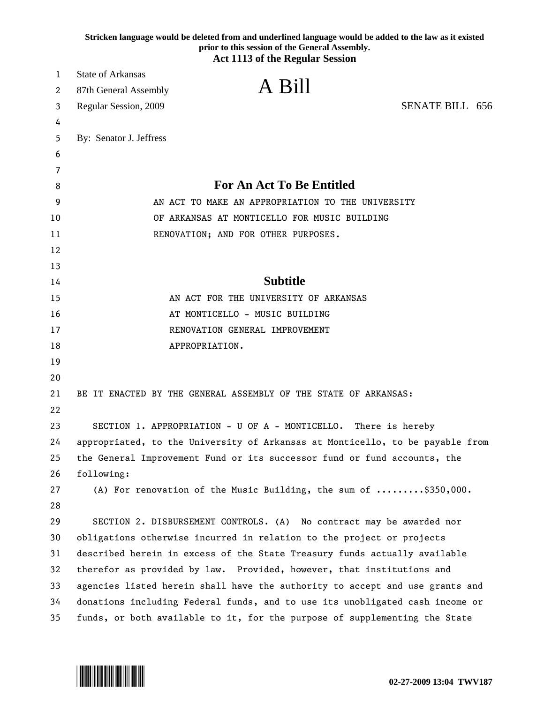|    | Stricken language would be deleted from and underlined language would be added to the law as it existed<br>prior to this session of the General Assembly. |
|----|-----------------------------------------------------------------------------------------------------------------------------------------------------------|
|    | <b>Act 1113 of the Regular Session</b>                                                                                                                    |
| 1  | <b>State of Arkansas</b>                                                                                                                                  |
| 2  | A Bill<br>87th General Assembly                                                                                                                           |
| 3  | <b>SENATE BILL 656</b><br>Regular Session, 2009                                                                                                           |
| 4  |                                                                                                                                                           |
| 5  | By: Senator J. Jeffress                                                                                                                                   |
| 6  |                                                                                                                                                           |
| 7  |                                                                                                                                                           |
| 8  | <b>For An Act To Be Entitled</b>                                                                                                                          |
| 9  | AN ACT TO MAKE AN APPROPRIATION TO THE UNIVERSITY                                                                                                         |
| 10 | OF ARKANSAS AT MONTICELLO FOR MUSIC BUILDING                                                                                                              |
| 11 | RENOVATION; AND FOR OTHER PURPOSES.                                                                                                                       |
| 12 |                                                                                                                                                           |
| 13 |                                                                                                                                                           |
| 14 | <b>Subtitle</b>                                                                                                                                           |
| 15 | AN ACT FOR THE UNIVERSITY OF ARKANSAS                                                                                                                     |
| 16 | AT MONTICELLO - MUSIC BUILDING                                                                                                                            |
| 17 | RENOVATION GENERAL IMPROVEMENT                                                                                                                            |
| 18 | APPROPRIATION.                                                                                                                                            |
| 19 |                                                                                                                                                           |
| 20 |                                                                                                                                                           |
| 21 | BE IT ENACTED BY THE GENERAL ASSEMBLY OF THE STATE OF ARKANSAS:                                                                                           |
| 22 |                                                                                                                                                           |
| 23 | SECTION 1. APPROPRIATION - U OF A - MONTICELLO.<br>There is hereby                                                                                        |
| 24 | appropriated, to the University of Arkansas at Monticello, to be payable from                                                                             |
| 25 | the General Improvement Fund or its successor fund or fund accounts, the                                                                                  |
| 26 | following:                                                                                                                                                |
| 27 | (A) For renovation of the Music Building, the sum of \$350,000.                                                                                           |
| 28 |                                                                                                                                                           |
| 29 | SECTION 2. DISBURSEMENT CONTROLS. (A) No contract may be awarded nor                                                                                      |
| 30 | obligations otherwise incurred in relation to the project or projects                                                                                     |
| 31 | described herein in excess of the State Treasury funds actually available                                                                                 |
| 32 | therefor as provided by law. Provided, however, that institutions and                                                                                     |
| 33 | agencies listed herein shall have the authority to accept and use grants and                                                                              |
| 34 | donations including Federal funds, and to use its unobligated cash income or                                                                              |
| 35 | funds, or both available to it, for the purpose of supplementing the State                                                                                |